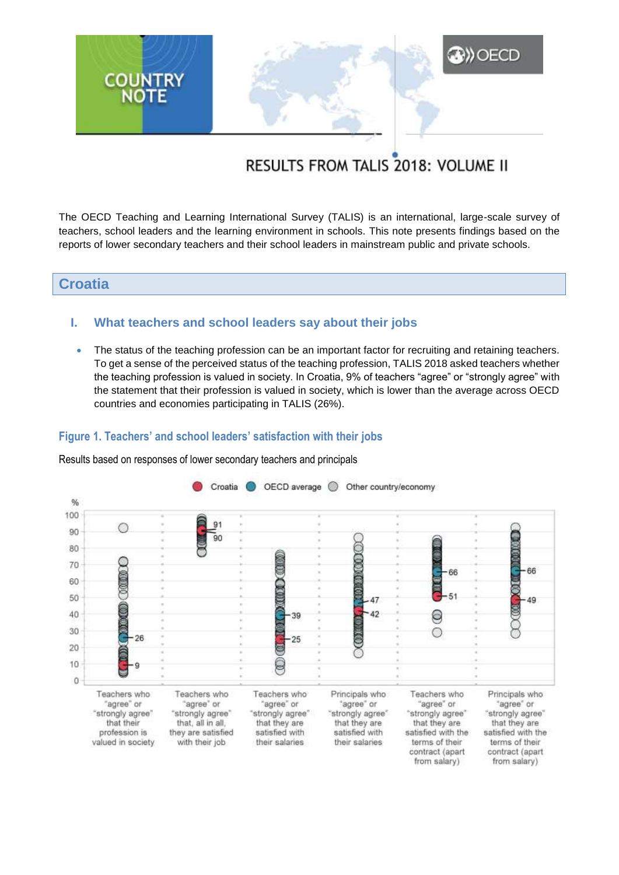

# RESULTS FROM TALIS 2018: VOLUME II

The OECD Teaching and Learning International Survey (TALIS) is an international, large-scale survey of teachers, school leaders and the learning environment in schools. This note presents findings based on the reports of lower secondary teachers and their school leaders in mainstream public and private schools.

# **Croatia**

## **I. What teachers and school leaders say about their jobs**

• The status of the teaching profession can be an important factor for recruiting and retaining teachers. To get a sense of the perceived status of the teaching profession, TALIS 2018 asked teachers whether the teaching profession is valued in society. In Croatia, 9% of teachers "agree" or "strongly agree" with the statement that their profession is valued in society, which is lower than the average across OECD countries and economies participating in TALIS (26%).

## **Figure 1. Teachers' and school leaders' satisfaction with their jobs**

Results based on responses of lower secondary teachers and principals

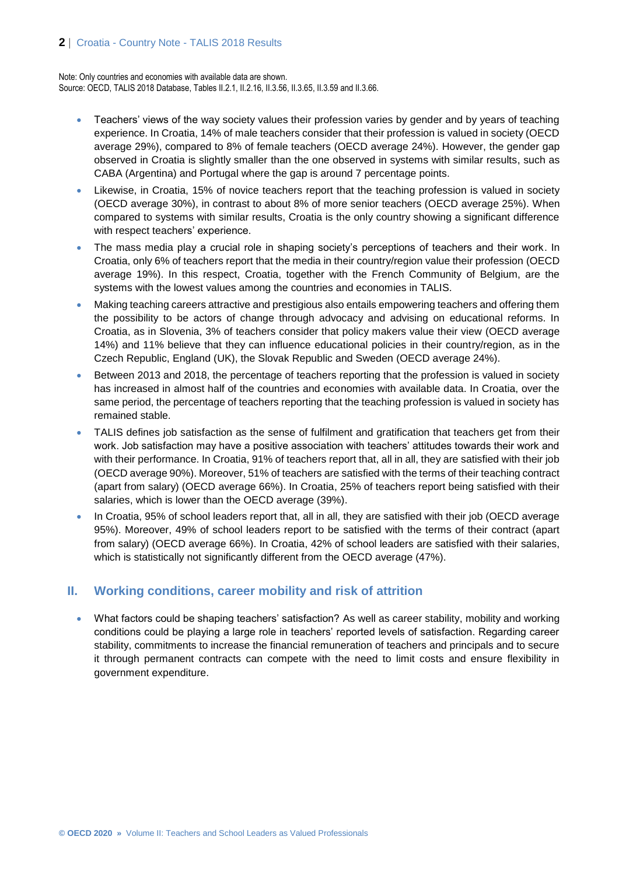Note: Only countries and economies with available data are shown. Source: OECD, TALIS 2018 Database, Tables II.2.1, II.2.16, II.3.56, II.3.65, II.3.59 and II.3.66.

- Teachers' views of the way society values their profession varies by gender and by years of teaching experience. In Croatia, 14% of male teachers consider that their profession is valued in society (OECD average 29%), compared to 8% of female teachers (OECD average 24%). However, the gender gap observed in Croatia is slightly smaller than the one observed in systems with similar results, such as CABA (Argentina) and Portugal where the gap is around 7 percentage points.
- Likewise, in Croatia, 15% of novice teachers report that the teaching profession is valued in society (OECD average 30%), in contrast to about 8% of more senior teachers (OECD average 25%). When compared to systems with similar results, Croatia is the only country showing a significant difference with respect teachers' experience.
- The mass media play a crucial role in shaping society's perceptions of teachers and their work. In Croatia, only 6% of teachers report that the media in their country/region value their profession (OECD average 19%). In this respect, Croatia, together with the French Community of Belgium, are the systems with the lowest values among the countries and economies in TALIS.
- Making teaching careers attractive and prestigious also entails empowering teachers and offering them the possibility to be actors of change through advocacy and advising on educational reforms. In Croatia, as in Slovenia, 3% of teachers consider that policy makers value their view (OECD average 14%) and 11% believe that they can influence educational policies in their country/region, as in the Czech Republic, England (UK), the Slovak Republic and Sweden (OECD average 24%).
- Between 2013 and 2018, the percentage of teachers reporting that the profession is valued in society has increased in almost half of the countries and economies with available data. In Croatia, over the same period, the percentage of teachers reporting that the teaching profession is valued in society has remained stable.
- TALIS defines job satisfaction as the sense of fulfilment and gratification that teachers get from their work. Job satisfaction may have a positive association with teachers' attitudes towards their work and with their performance. In Croatia, 91% of teachers report that, all in all, they are satisfied with their job (OECD average 90%). Moreover, 51% of teachers are satisfied with the terms of their teaching contract (apart from salary) (OECD average 66%). In Croatia, 25% of teachers report being satisfied with their salaries, which is lower than the OECD average (39%).
- In Croatia, 95% of school leaders report that, all in all, they are satisfied with their job (OECD average 95%). Moreover, 49% of school leaders report to be satisfied with the terms of their contract (apart from salary) (OECD average 66%). In Croatia, 42% of school leaders are satisfied with their salaries, which is statistically not significantly different from the OECD average (47%).

## **II. Working conditions, career mobility and risk of attrition**

 What factors could be shaping teachers' satisfaction? As well as career stability, mobility and working conditions could be playing a large role in teachers' reported levels of satisfaction. Regarding career stability, commitments to increase the financial remuneration of teachers and principals and to secure it through permanent contracts can compete with the need to limit costs and ensure flexibility in government expenditure.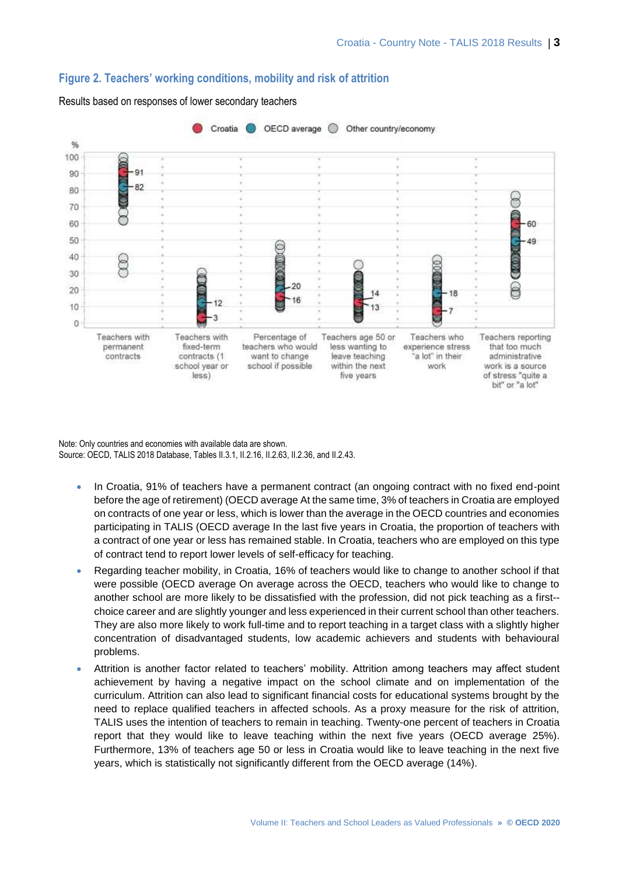

#### **Figure 2. Teachers' working conditions, mobility and risk of attrition**

Results based on responses of lower secondary teachers

Note: Only countries and economies with available data are shown. Source: OECD, TALIS 2018 Database, Tables II.3.1, II.2.16, II.2.63, II.2.36, and II.2.43.

- In Croatia, 91% of teachers have a permanent contract (an ongoing contract with no fixed end-point before the age of retirement) (OECD average At the same time, 3% of teachers in Croatia are employed on contracts of one year or less, which is lower than the average in the OECD countries and economies participating in TALIS (OECD average In the last five years in Croatia, the proportion of teachers with a contract of one year or less has remained stable. In Croatia, teachers who are employed on this type of contract tend to report lower levels of self-efficacy for teaching.
- Regarding teacher mobility, in Croatia, 16% of teachers would like to change to another school if that were possible (OECD average On average across the OECD, teachers who would like to change to another school are more likely to be dissatisfied with the profession, did not pick teaching as a first- choice career and are slightly younger and less experienced in their current school than other teachers. They are also more likely to work full-time and to report teaching in a target class with a slightly higher concentration of disadvantaged students, low academic achievers and students with behavioural problems.
- Attrition is another factor related to teachers' mobility. Attrition among teachers may affect student achievement by having a negative impact on the school climate and on implementation of the curriculum. Attrition can also lead to significant financial costs for educational systems brought by the need to replace qualified teachers in affected schools. As a proxy measure for the risk of attrition, TALIS uses the intention of teachers to remain in teaching. Twenty-one percent of teachers in Croatia report that they would like to leave teaching within the next five years (OECD average 25%). Furthermore, 13% of teachers age 50 or less in Croatia would like to leave teaching in the next five years, which is statistically not significantly different from the OECD average (14%).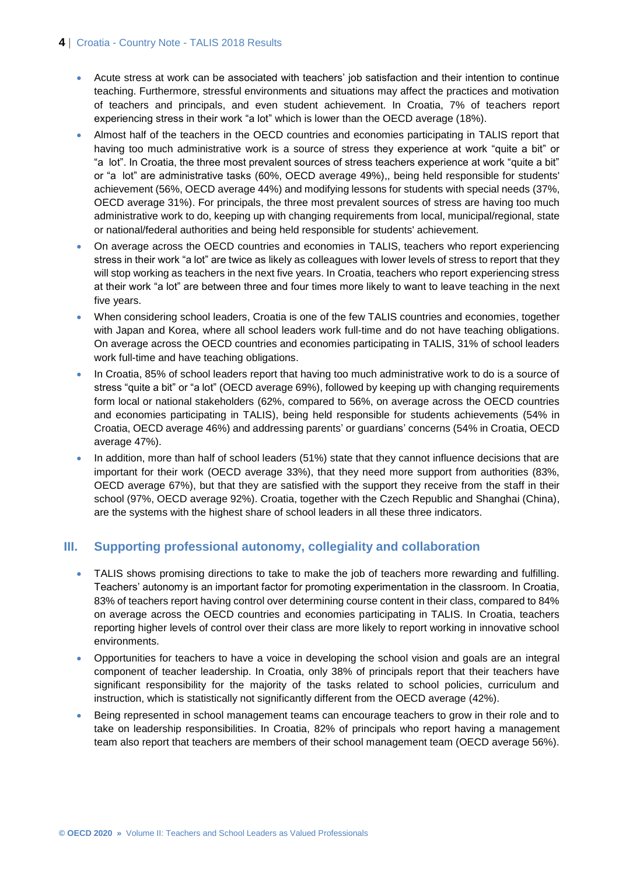## **4** | Croatia - Country Note - TALIS 2018 Results

- Acute stress at work can be associated with teachers' job satisfaction and their intention to continue teaching. Furthermore, stressful environments and situations may affect the practices and motivation of teachers and principals, and even student achievement. In Croatia, 7% of teachers report experiencing stress in their work "a lot" which is lower than the OECD average (18%).
- Almost half of the teachers in the OECD countries and economies participating in TALIS report that having too much administrative work is a source of stress they experience at work "quite a bit" or "a lot". In Croatia, the three most prevalent sources of stress teachers experience at work "quite a bit" or "a lot" are administrative tasks (60%, OECD average 49%),, being held responsible for students' achievement (56%, OECD average 44%) and modifying lessons for students with special needs (37%, OECD average 31%). For principals, the three most prevalent sources of stress are having too much administrative work to do, keeping up with changing requirements from local, municipal/regional, state or national/federal authorities and being held responsible for students' achievement.
- On average across the OECD countries and economies in TALIS, teachers who report experiencing stress in their work "a lot" are twice as likely as colleagues with lower levels of stress to report that they will stop working as teachers in the next five years. In Croatia, teachers who report experiencing stress at their work "a lot" are between three and four times more likely to want to leave teaching in the next five years.
- When considering school leaders, Croatia is one of the few TALIS countries and economies, together with Japan and Korea, where all school leaders work full-time and do not have teaching obligations. On average across the OECD countries and economies participating in TALIS, 31% of school leaders work full-time and have teaching obligations.
- In Croatia, 85% of school leaders report that having too much administrative work to do is a source of stress "quite a bit" or "a lot" (OECD average 69%), followed by keeping up with changing requirements form local or national stakeholders (62%, compared to 56%, on average across the OECD countries and economies participating in TALIS), being held responsible for students achievements (54% in Croatia, OECD average 46%) and addressing parents' or guardians' concerns (54% in Croatia, OECD average 47%).
- In addition, more than half of school leaders (51%) state that they cannot influence decisions that are important for their work (OECD average 33%), that they need more support from authorities (83%, OECD average 67%), but that they are satisfied with the support they receive from the staff in their school (97%, OECD average 92%). Croatia, together with the Czech Republic and Shanghai (China), are the systems with the highest share of school leaders in all these three indicators.

# **III. Supporting professional autonomy, collegiality and collaboration**

- TALIS shows promising directions to take to make the job of teachers more rewarding and fulfilling. Teachers' autonomy is an important factor for promoting experimentation in the classroom. In Croatia, 83% of teachers report having control over determining course content in their class, compared to 84% on average across the OECD countries and economies participating in TALIS. In Croatia, teachers reporting higher levels of control over their class are more likely to report working in innovative school environments.
- Opportunities for teachers to have a voice in developing the school vision and goals are an integral component of teacher leadership. In Croatia, only 38% of principals report that their teachers have significant responsibility for the majority of the tasks related to school policies, curriculum and instruction, which is statistically not significantly different from the OECD average (42%).
- Being represented in school management teams can encourage teachers to grow in their role and to take on leadership responsibilities. In Croatia, 82% of principals who report having a management team also report that teachers are members of their school management team (OECD average 56%).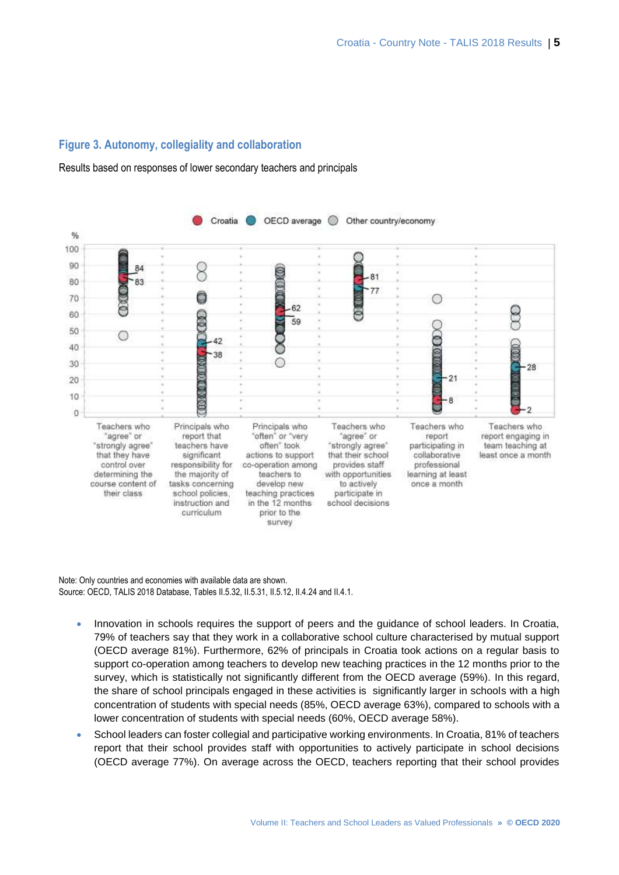## **Figure 3. Autonomy, collegiality and collaboration**

#### Results based on responses of lower secondary teachers and principals



Note: Only countries and economies with available data are shown. Source: OECD, TALIS 2018 Database, Tables II.5.32, II.5.31, II.5.12, II.4.24 and II.4.1.

- Innovation in schools requires the support of peers and the quidance of school leaders. In Croatia, 79% of teachers say that they work in a collaborative school culture characterised by mutual support (OECD average 81%). Furthermore, 62% of principals in Croatia took actions on a regular basis to support co-operation among teachers to develop new teaching practices in the 12 months prior to the survey, which is statistically not significantly different from the OECD average (59%). In this regard, the share of school principals engaged in these activities is significantly larger in schools with a high concentration of students with special needs (85%, OECD average 63%), compared to schools with a lower concentration of students with special needs (60%, OECD average 58%).
- School leaders can foster collegial and participative working environments. In Croatia, 81% of teachers report that their school provides staff with opportunities to actively participate in school decisions (OECD average 77%). On average across the OECD, teachers reporting that their school provides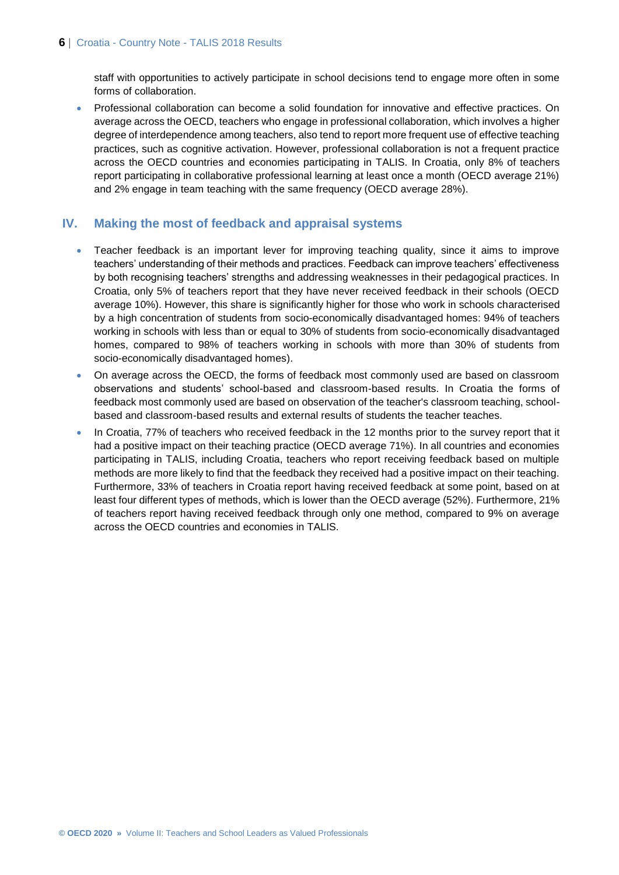staff with opportunities to actively participate in school decisions tend to engage more often in some forms of collaboration.

 Professional collaboration can become a solid foundation for innovative and effective practices. On average across the OECD, teachers who engage in professional collaboration, which involves a higher degree of interdependence among teachers, also tend to report more frequent use of effective teaching practices, such as cognitive activation. However, professional collaboration is not a frequent practice across the OECD countries and economies participating in TALIS. In Croatia, only 8% of teachers report participating in collaborative professional learning at least once a month (OECD average 21%) and 2% engage in team teaching with the same frequency (OECD average 28%).

## **IV. Making the most of feedback and appraisal systems**

- Teacher feedback is an important lever for improving teaching quality, since it aims to improve teachers' understanding of their methods and practices. Feedback can improve teachers' effectiveness by both recognising teachers' strengths and addressing weaknesses in their pedagogical practices. In Croatia, only 5% of teachers report that they have never received feedback in their schools (OECD average 10%). However, this share is significantly higher for those who work in schools characterised by a high concentration of students from socio-economically disadvantaged homes: 94% of teachers working in schools with less than or equal to 30% of students from socio-economically disadvantaged homes, compared to 98% of teachers working in schools with more than 30% of students from socio-economically disadvantaged homes).
- On average across the OECD, the forms of feedback most commonly used are based on classroom observations and students' school-based and classroom-based results. In Croatia the forms of feedback most commonly used are based on observation of the teacher's classroom teaching, schoolbased and classroom-based results and external results of students the teacher teaches.
- In Croatia, 77% of teachers who received feedback in the 12 months prior to the survey report that it had a positive impact on their teaching practice (OECD average 71%). In all countries and economies participating in TALIS, including Croatia, teachers who report receiving feedback based on multiple methods are more likely to find that the feedback they received had a positive impact on their teaching. Furthermore, 33% of teachers in Croatia report having received feedback at some point, based on at least four different types of methods, which is lower than the OECD average (52%). Furthermore, 21% of teachers report having received feedback through only one method, compared to 9% on average across the OECD countries and economies in TALIS.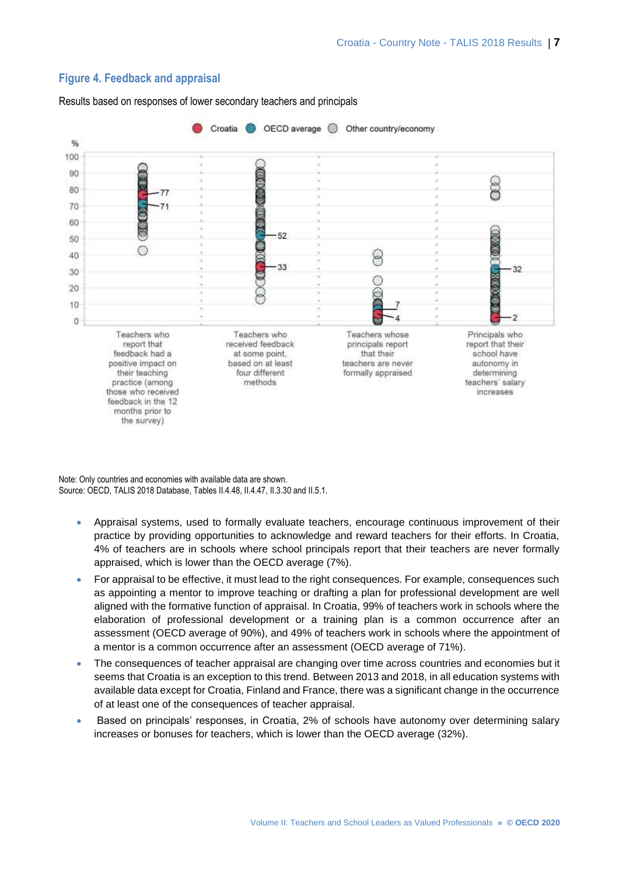

## **Figure 4. Feedback and appraisal**

Results based on responses of lower secondary teachers and principals

Note: Only countries and economies with available data are shown. Source: OECD, TALIS 2018 Database, Tables II.4.48, II.4.47, II.3.30 and II.5.1.

- Appraisal systems, used to formally evaluate teachers, encourage continuous improvement of their practice by providing opportunities to acknowledge and reward teachers for their efforts. In Croatia, 4% of teachers are in schools where school principals report that their teachers are never formally appraised, which is lower than the OECD average (7%).
- For appraisal to be effective, it must lead to the right consequences. For example, consequences such as appointing a mentor to improve teaching or drafting a plan for professional development are well aligned with the formative function of appraisal. In Croatia, 99% of teachers work in schools where the elaboration of professional development or a training plan is a common occurrence after an assessment (OECD average of 90%), and 49% of teachers work in schools where the appointment of a mentor is a common occurrence after an assessment (OECD average of 71%).
- The consequences of teacher appraisal are changing over time across countries and economies but it seems that Croatia is an exception to this trend. Between 2013 and 2018, in all education systems with available data except for Croatia, Finland and France, there was a significant change in the occurrence of at least one of the consequences of teacher appraisal.
- Based on principals' responses, in Croatia, 2% of schools have autonomy over determining salary increases or bonuses for teachers, which is lower than the OECD average (32%).